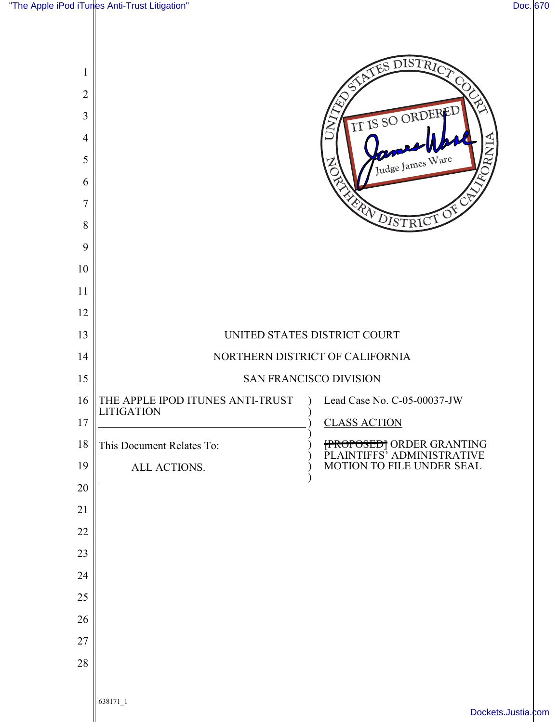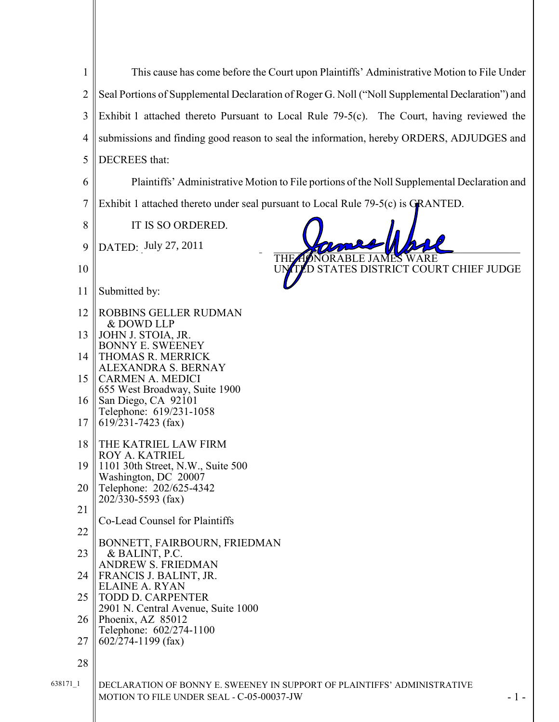| $\mathbf{1}$     | This cause has come before the Court upon Plaintiffs' Administrative Motion to File Under        |
|------------------|--------------------------------------------------------------------------------------------------|
| $\overline{2}$   | Seal Portions of Supplemental Declaration of Roger G. Noll ("Noll Supplemental Declaration") and |
| 3                | Exhibit 1 attached thereto Pursuant to Local Rule $79-5(c)$ . The Court, having reviewed the     |
| 4                | submissions and finding good reason to seal the information, hereby ORDERS, ADJUDGES and         |
| 5                | DECREES that:                                                                                    |
| 6                | Plaintiffs' Administrative Motion to File portions of the Noll Supplemental Declaration and      |
| $\boldsymbol{7}$ | Exhibit 1 attached thereto under seal pursuant to Local Rule 79-5(c) is GRANTED.                 |
| 8                | IT IS SO ORDERED.                                                                                |
| 9                | DATED: July 27, 2011                                                                             |
| 10               | THEZ<br>STATES DISTRICT COURT CHIEF JUDGE                                                        |
| 11               | Submitted by:                                                                                    |
| 12               | <b>ROBBINS GELLER RUDMAN</b>                                                                     |
| 13               | & DOWD LLP<br>JOHN J. STOIA, JR.                                                                 |
| 14               | BONNY E. SWEENEY<br>THOMAS R. MERRICK                                                            |
| 15               | ALEXANDRA S. BERNAY<br>CARMEN A. MEDICI                                                          |
| 16               | 655 West Broadway, Suite 1900<br>San Diego, CA 92101                                             |
| 17               | Telephone: 619/231-1058<br>$619/231 - 7423$ (fax)                                                |
| 18               | THE KATRIEL LAW FIRM                                                                             |
| 19               | ROY A. KATRIEL<br>1101 30th Street, N.W., Suite 500                                              |
| 20               | Washington, DC 20007<br>Telephone: 202/625-4342                                                  |
| 21               | 202/330-5593 (fax)                                                                               |
| 22               | Co-Lead Counsel for Plaintiffs                                                                   |
| 23               | BONNETT, FAIRBOURN, FRIEDMAN<br>& BALINT, P.C.                                                   |
| 24               | <b>ANDREW S. FRIEDMAN</b><br>FRANCIS J. BALINT, JR.                                              |
| 25               | <b>ELAINE A. RYAN</b><br><b>TODD D. CARPENTER</b>                                                |
| 26               | 2901 N. Central Avenue, Suite 1000<br>Phoenix, AZ 85012                                          |
| 27               | Telephone: 602/274-1100<br>$602/274 - 1199$ (fax)                                                |
| 28               |                                                                                                  |
| 638171 1         | DECLARATION OF BONNY E. SWEENEY IN SUPPORT OF PLAINTIFFS' ADMINISTRATIVE                         |
|                  | MOTION TO FILE UNDER SEAL - C-05-00037-JW<br>$-1-$                                               |

Ш